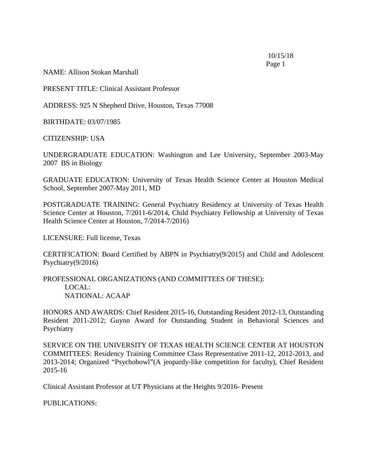10/15/18 Page 1

NAME: Allison Stokan Marshall

PRESENT TITLE: Clinical Assistant Professor

ADDRESS: 925 N Shepherd Drive, Houston, Texas 77008

BIRTHDATE: 03/07/1985

CITIZENSHIP: USA

UNDERGRADUATE EDUCATION: Washington and Lee University, September 2003-May 2007 BS in Biology

GRADUATE EDUCATION: University of Texas Health Science Center at Houston Medical School, September 2007-May 2011, MD

POSTGRADUATE TRAINING: General Psychiatry Residency at University of Texas Health Science Center at Houston, 7/2011-6/2014, Child Psychiatry Fellowship at University of Texas Health Science Center at Houston, 7/2014-7/2016)

LICENSURE: Full license, Texas

CERTIFICATION: Board Certified by ABPN in Psychiatry(9/2015) and Child and Adolescent Psychiatry(9/2016)

PROFESSIONAL ORGANIZATIONS (AND COMMITTEES OF THESE): LOCAL: NATIONAL: ACAAP

HONORS AND AWARDS: Chief Resident 2015-16, Outstanding Resident 2012-13, Outstanding Resident 2011-2012; Guynn Award for Outstanding Student in Behavioral Sciences and Psychiatry

SERVICE ON THE UNIVERSITY OF TEXAS HEALTH SCIENCE CENTER AT HOUSTON COMMITTEES: Residency Training Committee Class Representative 2011-12, 2012-2013, and 2013-2014; Organized "Psychobowl"(A jeopardy-like competition for faculty), Chief Resident 2015-16

Clinical Assistant Professor at UT Physicians at the Heights 9/2016- Present

PUBLICATIONS: